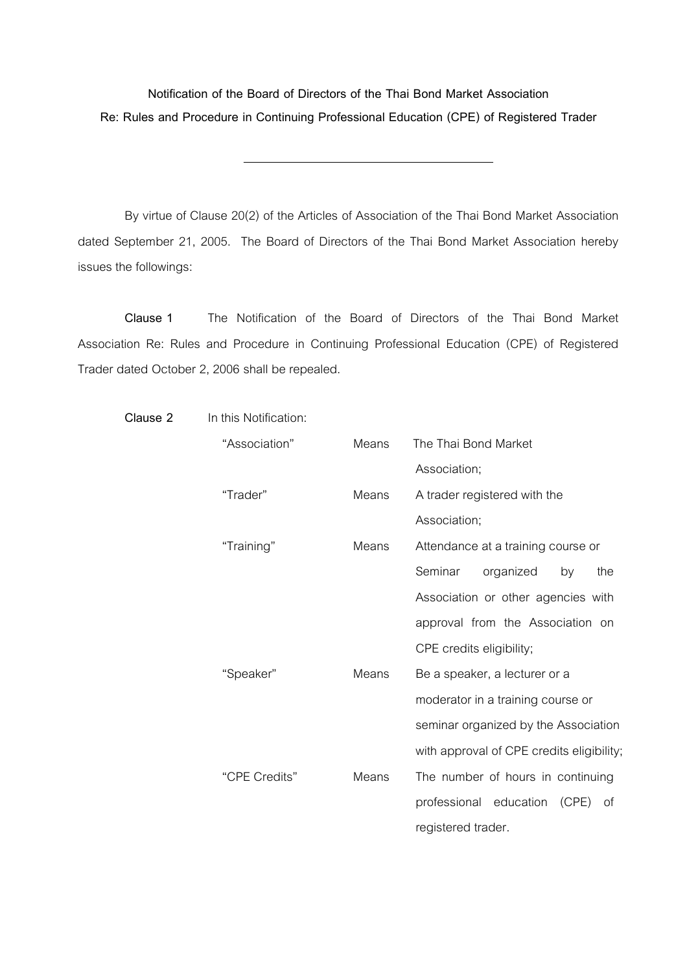**Notification of the Board of Directors of the Thai Bond Market Association Re: Rules and Procedure in Continuing Professional Education (CPE) of Registered Trader** 

 By virtue of Clause 20(2) of the Articles of Association of the Thai Bond Market Association dated September 21, 2005. The Board of Directors of the Thai Bond Market Association hereby issues the followings:

 **Clause 1** The Notification of the Board of Directors of the Thai Bond Market Association Re: Rules and Procedure in Continuing Professional Education (CPE) of Registered Trader dated October 2, 2006 shall be repealed.

| Clause 2 | In this Notification: |       |                                           |
|----------|-----------------------|-------|-------------------------------------------|
|          | "Association"         | Means | The Thai Bond Market                      |
|          |                       |       | Association;                              |
|          | "Trader"              | Means | A trader registered with the              |
|          |                       |       | Association;                              |
|          | "Training"            | Means | Attendance at a training course or        |
|          |                       |       | Seminar<br>organized<br>by<br>the         |
|          |                       |       | Association or other agencies with        |
|          |                       |       | approval from the Association on          |
|          |                       |       | CPE credits eligibility;                  |
|          | "Speaker"             | Means | Be a speaker, a lecturer or a             |
|          |                       |       | moderator in a training course or         |
|          |                       |       | seminar organized by the Association      |
|          |                       |       | with approval of CPE credits eligibility; |
|          | "CPE Credits"         | Means | The number of hours in continuing         |
|          |                       |       | professional education<br>(CPE)<br>of     |
|          |                       |       | registered trader.                        |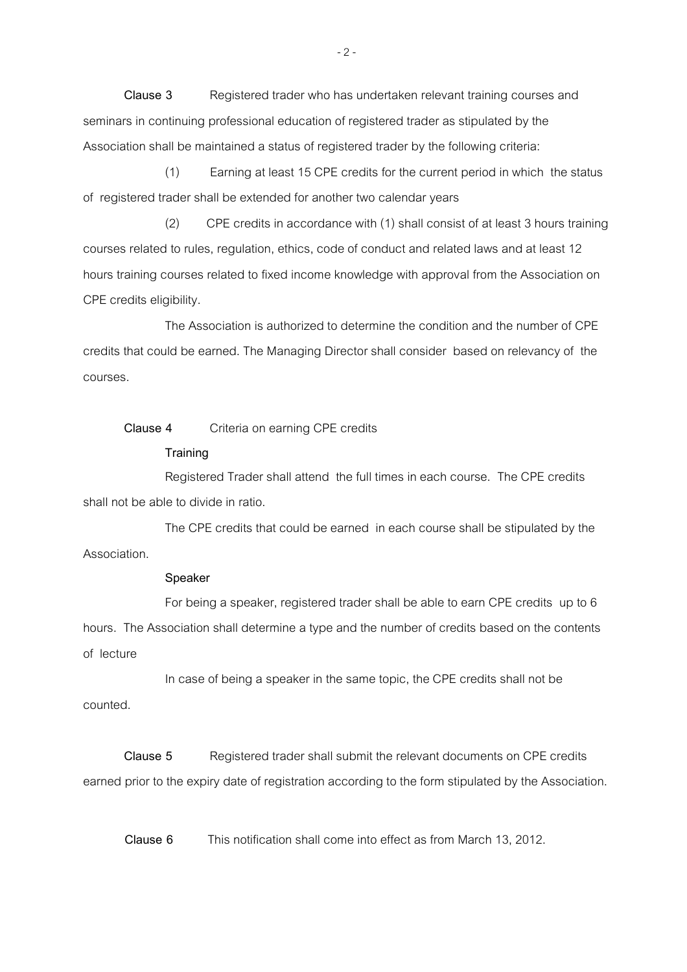**Clause 3** Registered trader who has undertaken relevant training courses and seminars in continuing professional education of registered trader as stipulated by the Association shall be maintained a status of registered trader by the following criteria:

 (1) Earning at least 15 CPE credits for the current period in which the status of registered trader shall be extended for another two calendar years

 (2) CPE credits in accordance with (1) shall consist of at least 3 hours training courses related to rules, regulation, ethics, code of conduct and related laws and at least 12 hours training courses related to fixed income knowledge with approval from the Association on CPE credits eligibility.

 The Association is authorized to determine the condition and the number of CPE credits that could be earned. The Managing Director shall consider based on relevancy of the courses.

## **Clause 4** Criteria on earning CPE credits

## **Training**

 Registered Trader shall attend the full times in each course. The CPE credits shall not be able to divide in ratio.

 The CPE credits that could be earned in each course shall be stipulated by the Association.

## **Speaker**

 For being a speaker, registered trader shall be able to earn CPE credits up to 6 hours. The Association shall determine a type and the number of credits based on the contents of lecture

 In case of being a speaker in the same topic, the CPE credits shall not be counted.

 **Clause 5** Registered trader shall submit the relevant documents on CPE credits earned prior to the expiry date of registration according to the form stipulated by the Association.

**Clause 6** This notification shall come into effect as from March 13, 2012.